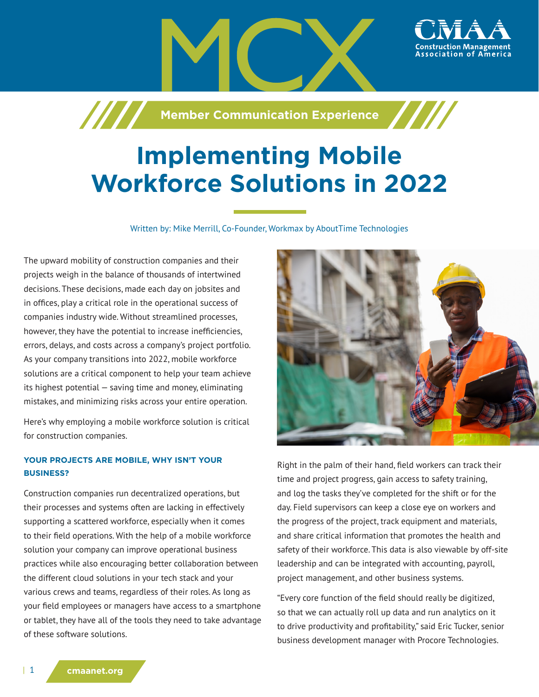

# **Implementing Mobile Workforce Solutions in 2022**

Written by: Mike Merrill, Co-Founder, Workmax by AboutTime Technologies

The upward mobility of construction companies and their projects weigh in the balance of thousands of intertwined decisions. These decisions, made each day on jobsites and in offices, play a critical role in the operational success of companies industry wide. Without streamlined processes, however, they have the potential to increase inefficiencies, errors, delays, and costs across a company's project portfolio. As your company transitions into 2022, mobile workforce solutions are a critical component to help your team achieve its highest potential — saving time and money, eliminating mistakes, and minimizing risks across your entire operation.

Here's why employing a mobile workforce solution is critical for construction companies.

## **YOUR PROJECTS ARE MOBILE, WHY ISN'T YOUR BUSINESS?**

Construction companies run decentralized operations, but their processes and systems often are lacking in effectively supporting a scattered workforce, especially when it comes to their field operations. With the help of a mobile workforce solution your company can improve operational business practices while also encouraging better collaboration between the different cloud solutions in your tech stack and your various crews and teams, regardless of their roles. As long as your field employees or managers have access to a smartphone or tablet, they have all of the tools they need to take advantage of these software solutions.



Right in the palm of their hand, field workers can track their time and project progress, gain access to safety training, and log the tasks they've completed for the shift or for the day. Field supervisors can keep a close eye on workers and the progress of the project, track equipment and materials, and share critical information that promotes the health and safety of their workforce. This data is also viewable by off-site leadership and can be integrated with accounting, payroll, project management, and other business systems.

"Every core function of the field should really be digitized, so that we can actually roll up data and run analytics on it to drive productivity and profitability," said Eric Tucker, senior business development manager with Procore Technologies.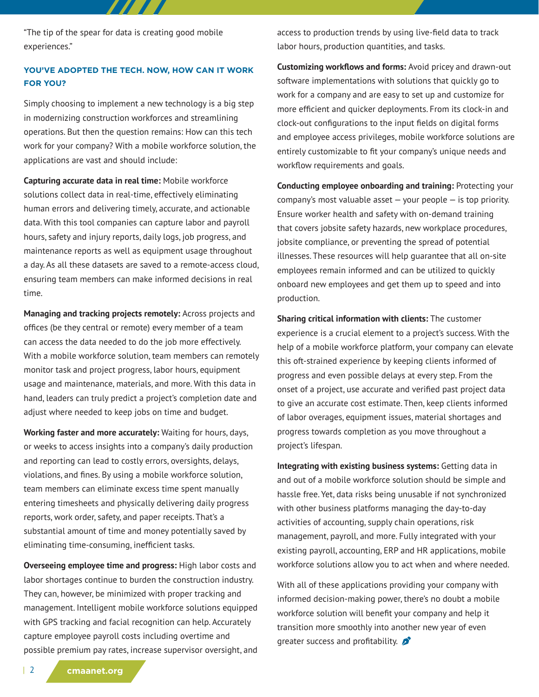"The tip of the spear for data is creating good mobile experiences."

## **YOU'VE ADOPTED THE TECH. NOW, HOW CAN IT WORK FOR YOU?**

Simply choosing to implement a new technology is a big step in modernizing construction workforces and streamlining operations. But then the question remains: How can this tech work for your company? With a mobile workforce solution, the applications are vast and should include:

**Capturing accurate data in real time:** Mobile workforce solutions collect data in real-time, effectively eliminating human errors and delivering timely, accurate, and actionable data. With this tool companies can capture labor and payroll hours, safety and injury reports, daily logs, job progress, and maintenance reports as well as equipment usage throughout a day. As all these datasets are saved to a remote-access cloud, ensuring team members can make informed decisions in real time.

**Managing and tracking projects remotely:** Across projects and offices (be they central or remote) every member of a team can access the data needed to do the job more effectively. With a mobile workforce solution, team members can remotely monitor task and project progress, labor hours, equipment usage and maintenance, materials, and more. With this data in hand, leaders can truly predict a project's completion date and adjust where needed to keep jobs on time and budget.

**Working faster and more accurately:** Waiting for hours, days, or weeks to access insights into a company's daily production and reporting can lead to costly errors, oversights, delays, violations, and fines. By using a mobile workforce solution, team members can eliminate excess time spent manually entering timesheets and physically delivering daily progress reports, work order, safety, and paper receipts. That's a substantial amount of time and money potentially saved by eliminating time-consuming, inefficient tasks.

**Overseeing employee time and progress:** High labor costs and labor shortages continue to burden the construction industry. They can, however, be minimized with proper tracking and management. Intelligent mobile workforce solutions equipped with GPS tracking and facial recognition can help. Accurately capture employee payroll costs including overtime and possible premium pay rates, increase supervisor oversight, and access to production trends by using live-field data to track labor hours, production quantities, and tasks.

**Customizing workflows and forms:** Avoid pricey and drawn-out software implementations with solutions that quickly go to work for a company and are easy to set up and customize for more efficient and quicker deployments. From its clock-in and clock-out configurations to the input fields on digital forms and employee access privileges, mobile workforce solutions are entirely customizable to fit your company's unique needs and workflow requirements and goals.

**Conducting employee onboarding and training:** Protecting your company's most valuable asset — your people — is top priority. Ensure worker health and safety with on-demand training that covers jobsite safety hazards, new workplace procedures, jobsite compliance, or preventing the spread of potential illnesses. These resources will help guarantee that all on-site employees remain informed and can be utilized to quickly onboard new employees and get them up to speed and into production.

**Sharing critical information with clients:** The customer experience is a crucial element to a project's success. With the help of a mobile workforce platform, your company can elevate this oft-strained experience by keeping clients informed of progress and even possible delays at every step. From the onset of a project, use accurate and verified past project data to give an accurate cost estimate. Then, keep clients informed of labor overages, equipment issues, material shortages and progress towards completion as you move throughout a project's lifespan.

**Integrating with existing business systems:** Getting data in and out of a mobile workforce solution should be simple and hassle free. Yet, data risks being unusable if not synchronized with other business platforms managing the day-to-day activities of accounting, supply chain operations, risk management, payroll, and more. Fully integrated with your existing payroll, accounting, ERP and HR applications, mobile workforce solutions allow you to act when and where needed.

With all of these applications providing your company with informed decision-making power, there's no doubt a mobile workforce solution will benefit your company and help it transition more smoothly into another new year of even greater success and profitability.  $\mathcal{L}$